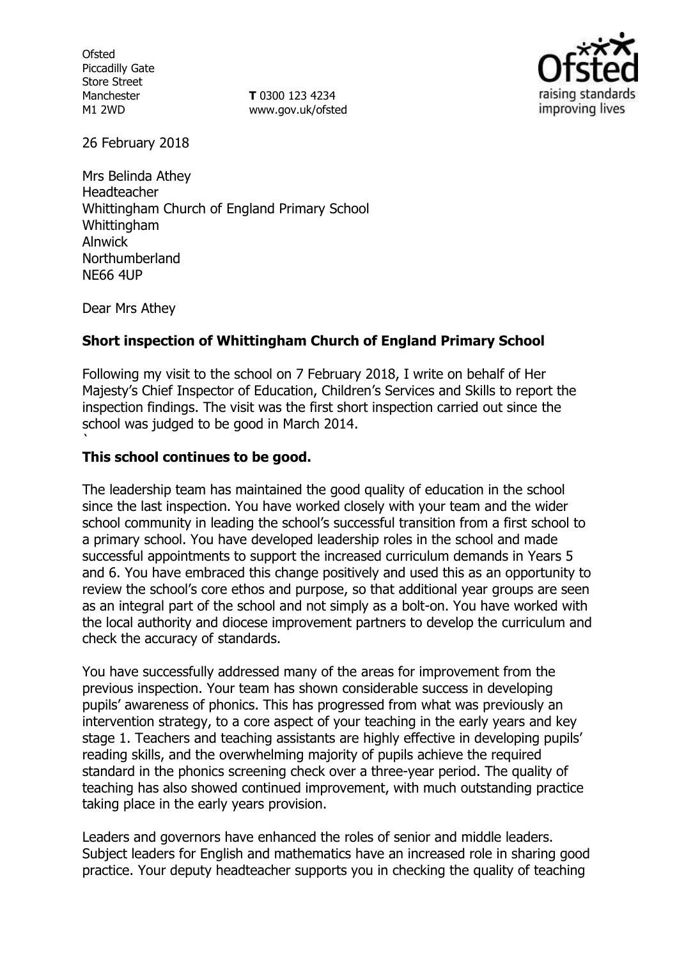**Ofsted** Piccadilly Gate Store Street Manchester M1 2WD

**T** 0300 123 4234 www.gov.uk/ofsted



26 February 2018

Mrs Belinda Athey Headteacher Whittingham Church of England Primary School Whittingham Alnwick Northumberland NE66 4UP

Dear Mrs Athey

`

# **Short inspection of Whittingham Church of England Primary School**

Following my visit to the school on 7 February 2018, I write on behalf of Her Majesty's Chief Inspector of Education, Children's Services and Skills to report the inspection findings. The visit was the first short inspection carried out since the school was judged to be good in March 2014.

### **This school continues to be good.**

The leadership team has maintained the good quality of education in the school since the last inspection. You have worked closely with your team and the wider school community in leading the school's successful transition from a first school to a primary school. You have developed leadership roles in the school and made successful appointments to support the increased curriculum demands in Years 5 and 6. You have embraced this change positively and used this as an opportunity to review the school's core ethos and purpose, so that additional year groups are seen as an integral part of the school and not simply as a bolt-on. You have worked with the local authority and diocese improvement partners to develop the curriculum and check the accuracy of standards.

You have successfully addressed many of the areas for improvement from the previous inspection. Your team has shown considerable success in developing pupils' awareness of phonics. This has progressed from what was previously an intervention strategy, to a core aspect of your teaching in the early years and key stage 1. Teachers and teaching assistants are highly effective in developing pupils' reading skills, and the overwhelming majority of pupils achieve the required standard in the phonics screening check over a three-year period. The quality of teaching has also showed continued improvement, with much outstanding practice taking place in the early years provision.

Leaders and governors have enhanced the roles of senior and middle leaders. Subject leaders for English and mathematics have an increased role in sharing good practice. Your deputy headteacher supports you in checking the quality of teaching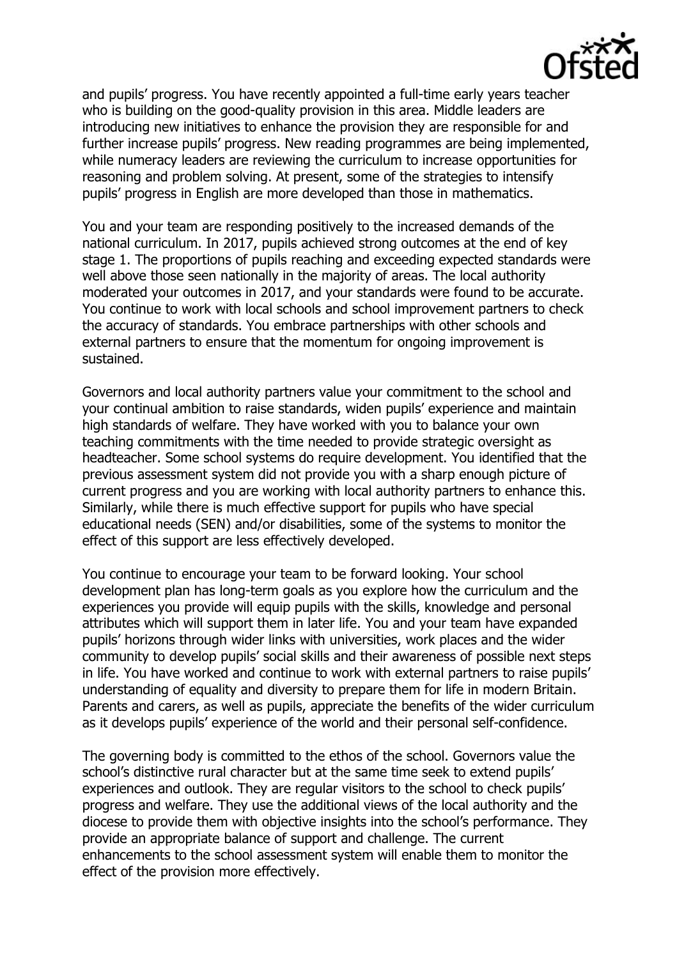and pupils' progress. You have recently appointed a full-time early years teacher who is building on the good-quality provision in this area. Middle leaders are introducing new initiatives to enhance the provision they are responsible for and further increase pupils' progress. New reading programmes are being implemented, while numeracy leaders are reviewing the curriculum to increase opportunities for reasoning and problem solving. At present, some of the strategies to intensify pupils' progress in English are more developed than those in mathematics.

You and your team are responding positively to the increased demands of the national curriculum. In 2017, pupils achieved strong outcomes at the end of key stage 1. The proportions of pupils reaching and exceeding expected standards were well above those seen nationally in the majority of areas. The local authority moderated your outcomes in 2017, and your standards were found to be accurate. You continue to work with local schools and school improvement partners to check the accuracy of standards. You embrace partnerships with other schools and external partners to ensure that the momentum for ongoing improvement is sustained.

Governors and local authority partners value your commitment to the school and your continual ambition to raise standards, widen pupils' experience and maintain high standards of welfare. They have worked with you to balance your own teaching commitments with the time needed to provide strategic oversight as headteacher. Some school systems do require development. You identified that the previous assessment system did not provide you with a sharp enough picture of current progress and you are working with local authority partners to enhance this. Similarly, while there is much effective support for pupils who have special educational needs (SEN) and/or disabilities, some of the systems to monitor the effect of this support are less effectively developed.

You continue to encourage your team to be forward looking. Your school development plan has long-term goals as you explore how the curriculum and the experiences you provide will equip pupils with the skills, knowledge and personal attributes which will support them in later life. You and your team have expanded pupils' horizons through wider links with universities, work places and the wider community to develop pupils' social skills and their awareness of possible next steps in life. You have worked and continue to work with external partners to raise pupils' understanding of equality and diversity to prepare them for life in modern Britain. Parents and carers, as well as pupils, appreciate the benefits of the wider curriculum as it develops pupils' experience of the world and their personal self-confidence.

The governing body is committed to the ethos of the school. Governors value the school's distinctive rural character but at the same time seek to extend pupils' experiences and outlook. They are regular visitors to the school to check pupils' progress and welfare. They use the additional views of the local authority and the diocese to provide them with objective insights into the school's performance. They provide an appropriate balance of support and challenge. The current enhancements to the school assessment system will enable them to monitor the effect of the provision more effectively.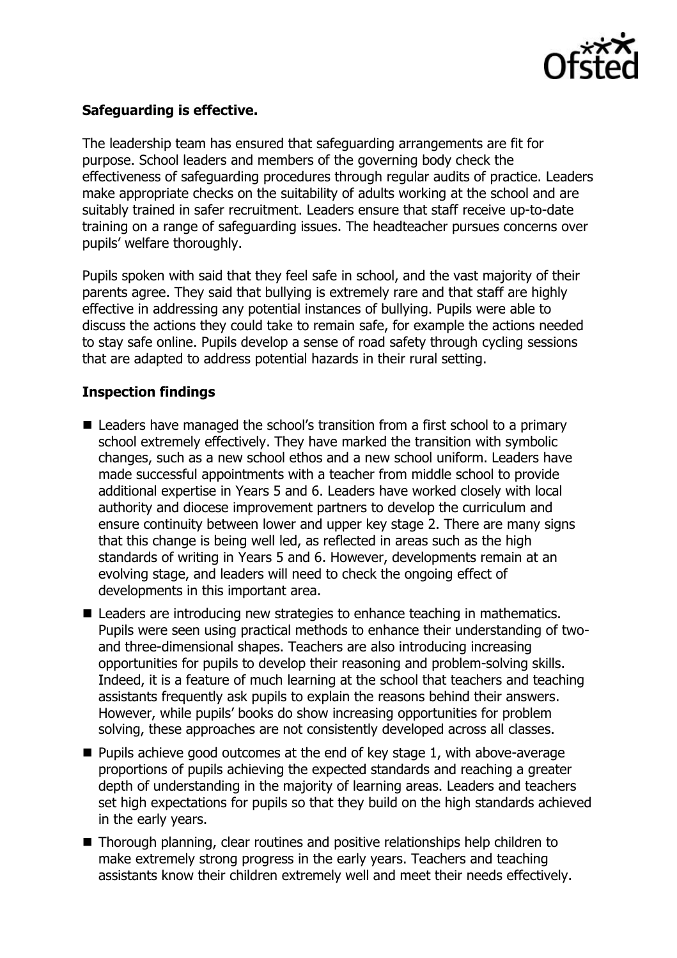

# **Safeguarding is effective.**

The leadership team has ensured that safeguarding arrangements are fit for purpose. School leaders and members of the governing body check the effectiveness of safeguarding procedures through regular audits of practice. Leaders make appropriate checks on the suitability of adults working at the school and are suitably trained in safer recruitment. Leaders ensure that staff receive up-to-date training on a range of safeguarding issues. The headteacher pursues concerns over pupils' welfare thoroughly.

Pupils spoken with said that they feel safe in school, and the vast majority of their parents agree. They said that bullying is extremely rare and that staff are highly effective in addressing any potential instances of bullying. Pupils were able to discuss the actions they could take to remain safe, for example the actions needed to stay safe online. Pupils develop a sense of road safety through cycling sessions that are adapted to address potential hazards in their rural setting.

# **Inspection findings**

- Leaders have managed the school's transition from a first school to a primary school extremely effectively. They have marked the transition with symbolic changes, such as a new school ethos and a new school uniform. Leaders have made successful appointments with a teacher from middle school to provide additional expertise in Years 5 and 6. Leaders have worked closely with local authority and diocese improvement partners to develop the curriculum and ensure continuity between lower and upper key stage 2. There are many signs that this change is being well led, as reflected in areas such as the high standards of writing in Years 5 and 6. However, developments remain at an evolving stage, and leaders will need to check the ongoing effect of developments in this important area.
- Leaders are introducing new strategies to enhance teaching in mathematics. Pupils were seen using practical methods to enhance their understanding of twoand three-dimensional shapes. Teachers are also introducing increasing opportunities for pupils to develop their reasoning and problem-solving skills. Indeed, it is a feature of much learning at the school that teachers and teaching assistants frequently ask pupils to explain the reasons behind their answers. However, while pupils' books do show increasing opportunities for problem solving, these approaches are not consistently developed across all classes.
- $\blacksquare$  Pupils achieve good outcomes at the end of key stage 1, with above-average proportions of pupils achieving the expected standards and reaching a greater depth of understanding in the majority of learning areas. Leaders and teachers set high expectations for pupils so that they build on the high standards achieved in the early years.
- Thorough planning, clear routines and positive relationships help children to make extremely strong progress in the early years. Teachers and teaching assistants know their children extremely well and meet their needs effectively.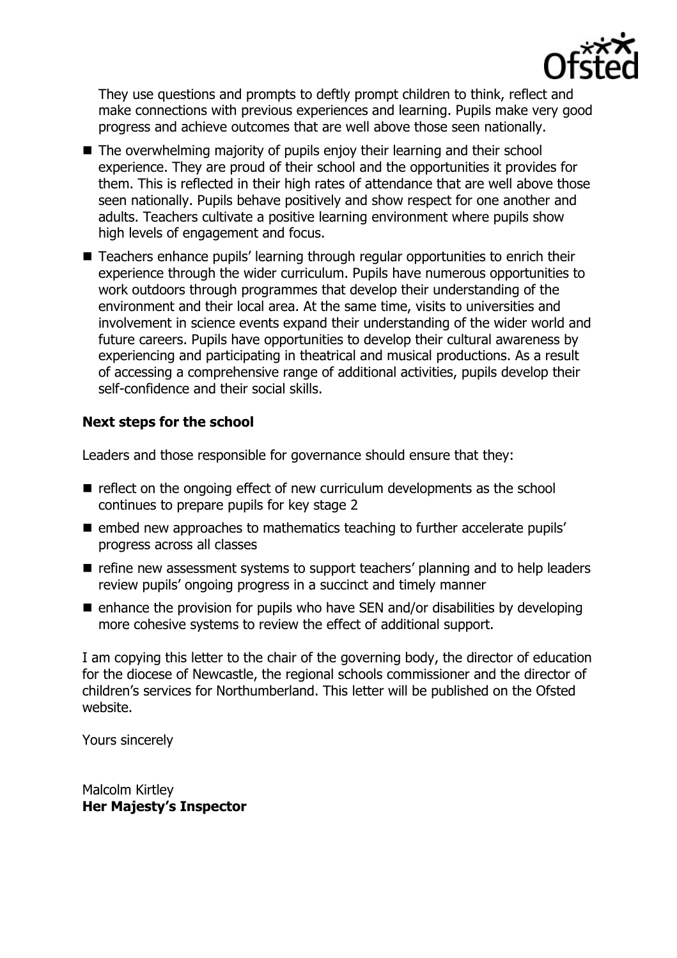

They use questions and prompts to deftly prompt children to think, reflect and make connections with previous experiences and learning. Pupils make very good progress and achieve outcomes that are well above those seen nationally.

- The overwhelming majority of pupils enjoy their learning and their school experience. They are proud of their school and the opportunities it provides for them. This is reflected in their high rates of attendance that are well above those seen nationally. Pupils behave positively and show respect for one another and adults. Teachers cultivate a positive learning environment where pupils show high levels of engagement and focus.
- Teachers enhance pupils' learning through regular opportunities to enrich their experience through the wider curriculum. Pupils have numerous opportunities to work outdoors through programmes that develop their understanding of the environment and their local area. At the same time, visits to universities and involvement in science events expand their understanding of the wider world and future careers. Pupils have opportunities to develop their cultural awareness by experiencing and participating in theatrical and musical productions. As a result of accessing a comprehensive range of additional activities, pupils develop their self-confidence and their social skills.

# **Next steps for the school**

Leaders and those responsible for governance should ensure that they:

- reflect on the ongoing effect of new curriculum developments as the school continues to prepare pupils for key stage 2
- **E** embed new approaches to mathematics teaching to further accelerate pupils' progress across all classes
- refine new assessment systems to support teachers' planning and to help leaders review pupils' ongoing progress in a succinct and timely manner
- $\blacksquare$  enhance the provision for pupils who have SEN and/or disabilities by developing more cohesive systems to review the effect of additional support.

I am copying this letter to the chair of the governing body, the director of education for the diocese of Newcastle, the regional schools commissioner and the director of children's services for Northumberland. This letter will be published on the Ofsted website.

Yours sincerely

Malcolm Kirtley **Her Majesty's Inspector**